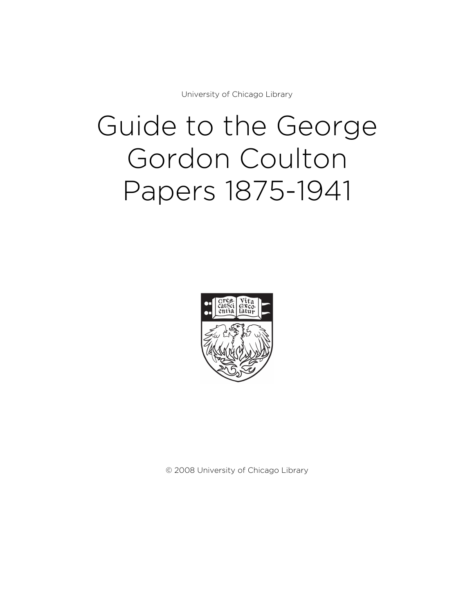University of Chicago Library

# Guide to the George Gordon Coulton Papers 1875-1941



© 2008 University of Chicago Library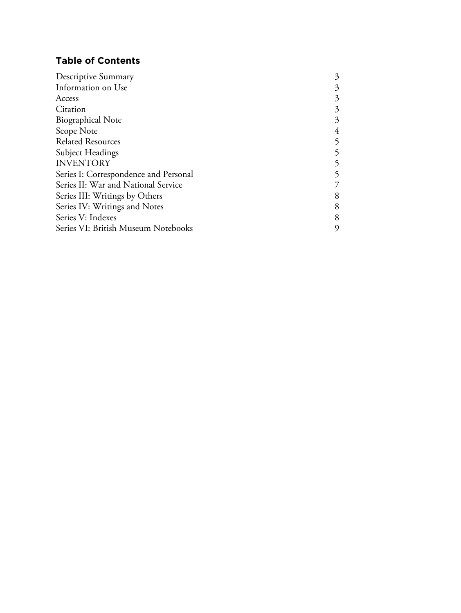# **Table of Contents**

| <b>Descriptive Summary</b>            | 3 |
|---------------------------------------|---|
| Information on Use                    | 3 |
| Access                                | 3 |
| Citation                              | 3 |
| <b>Biographical Note</b>              | 3 |
| Scope Note                            | 4 |
| <b>Related Resources</b>              | 5 |
| Subject Headings                      |   |
| <b>INVENTORY</b>                      | 5 |
| Series I: Correspondence and Personal |   |
| Series II: War and National Service   |   |
| Series III: Writings by Others        | 8 |
| Series IV: Writings and Notes         | 8 |
| Series V: Indexes                     | 8 |
| Series VI: British Museum Notebooks   | 9 |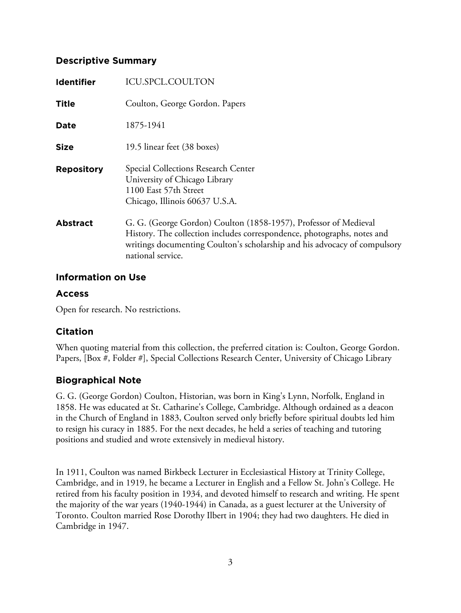## **Descriptive Summary**

| <b>Identifier</b> | ICU.SPCL.COULTON                                                                                                                                                                                                                              |
|-------------------|-----------------------------------------------------------------------------------------------------------------------------------------------------------------------------------------------------------------------------------------------|
| <b>Title</b>      | Coulton, George Gordon. Papers                                                                                                                                                                                                                |
| Date              | 1875-1941                                                                                                                                                                                                                                     |
| <b>Size</b>       | 19.5 linear feet (38 boxes)                                                                                                                                                                                                                   |
| <b>Repository</b> | Special Collections Research Center<br>University of Chicago Library<br>1100 East 57th Street<br>Chicago, Illinois 60637 U.S.A.                                                                                                               |
| <b>Abstract</b>   | G. G. (George Gordon) Coulton (1858-1957), Professor of Medieval<br>History. The collection includes correspondence, photographs, notes and<br>writings documenting Coulton's scholarship and his advocacy of compulsory<br>national service. |

## **Information on Use**

# **Access**

Open for research. No restrictions.

# **Citation**

When quoting material from this collection, the preferred citation is: Coulton, George Gordon. Papers, [Box #, Folder #], Special Collections Research Center, University of Chicago Library

# **Biographical Note**

G. G. (George Gordon) Coulton, Historian, was born in King's Lynn, Norfolk, England in 1858. He was educated at St. Catharine's College, Cambridge. Although ordained as a deacon in the Church of England in 1883, Coulton served only briefly before spiritual doubts led him to resign his curacy in 1885. For the next decades, he held a series of teaching and tutoring positions and studied and wrote extensively in medieval history.

In 1911, Coulton was named Birkbeck Lecturer in Ecclesiastical History at Trinity College, Cambridge, and in 1919, he became a Lecturer in English and a Fellow St. John's College. He retired from his faculty position in 1934, and devoted himself to research and writing. He spent the majority of the war years (1940-1944) in Canada, as a guest lecturer at the University of Toronto. Coulton married Rose Dorothy Ilbert in 1904; they had two daughters. He died in Cambridge in 1947.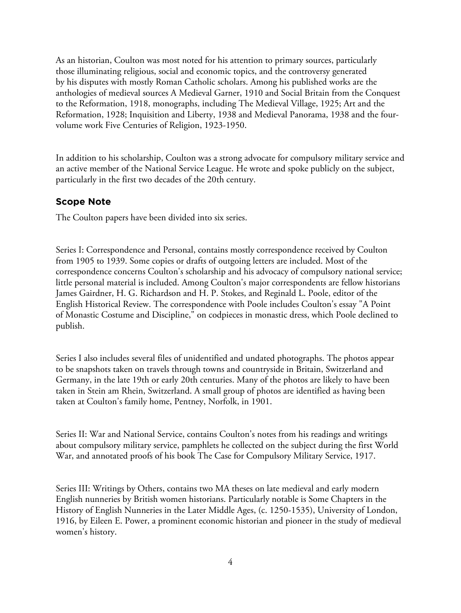As an historian, Coulton was most noted for his attention to primary sources, particularly those illuminating religious, social and economic topics, and the controversy generated by his disputes with mostly Roman Catholic scholars. Among his published works are the anthologies of medieval sources A Medieval Garner, 1910 and Social Britain from the Conquest to the Reformation, 1918, monographs, including The Medieval Village, 1925; Art and the Reformation, 1928; Inquisition and Liberty, 1938 and Medieval Panorama, 1938 and the fourvolume work Five Centuries of Religion, 1923-1950.

In addition to his scholarship, Coulton was a strong advocate for compulsory military service and an active member of the National Service League. He wrote and spoke publicly on the subject, particularly in the first two decades of the 20th century.

## **Scope Note**

The Coulton papers have been divided into six series.

Series I: Correspondence and Personal, contains mostly correspondence received by Coulton from 1905 to 1939. Some copies or drafts of outgoing letters are included. Most of the correspondence concerns Coulton's scholarship and his advocacy of compulsory national service; little personal material is included. Among Coulton's major correspondents are fellow historians James Gairdner, H. G. Richardson and H. P. Stokes, and Reginald L. Poole, editor of the English Historical Review. The correspondence with Poole includes Coulton's essay "A Point of Monastic Costume and Discipline," on codpieces in monastic dress, which Poole declined to publish.

Series I also includes several files of unidentified and undated photographs. The photos appear to be snapshots taken on travels through towns and countryside in Britain, Switzerland and Germany, in the late 19th or early 20th centuries. Many of the photos are likely to have been taken in Stein am Rhein, Switzerland. A small group of photos are identified as having been taken at Coulton's family home, Pentney, Norfolk, in 1901.

Series II: War and National Service, contains Coulton's notes from his readings and writings about compulsory military service, pamphlets he collected on the subject during the first World War, and annotated proofs of his book The Case for Compulsory Military Service, 1917.

Series III: Writings by Others, contains two MA theses on late medieval and early modern English nunneries by British women historians. Particularly notable is Some Chapters in the History of English Nunneries in the Later Middle Ages, (c. 1250-1535), University of London, 1916, by Eileen E. Power, a prominent economic historian and pioneer in the study of medieval women's history.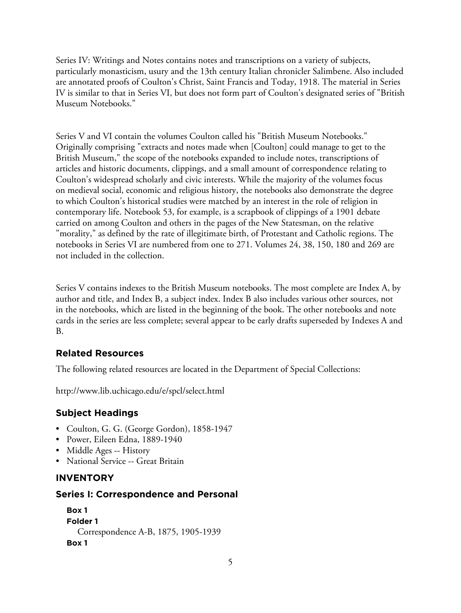Series IV: Writings and Notes contains notes and transcriptions on a variety of subjects, particularly monasticism, usury and the 13th century Italian chronicler Salimbene. Also included are annotated proofs of Coulton's Christ, Saint Francis and Today, 1918. The material in Series IV is similar to that in Series VI, but does not form part of Coulton's designated series of "British Museum Notebooks."

Series V and VI contain the volumes Coulton called his "British Museum Notebooks." Originally comprising "extracts and notes made when [Coulton] could manage to get to the British Museum," the scope of the notebooks expanded to include notes, transcriptions of articles and historic documents, clippings, and a small amount of correspondence relating to Coulton's widespread scholarly and civic interests. While the majority of the volumes focus on medieval social, economic and religious history, the notebooks also demonstrate the degree to which Coulton's historical studies were matched by an interest in the role of religion in contemporary life. Notebook 53, for example, is a scrapbook of clippings of a 1901 debate carried on among Coulton and others in the pages of the New Statesman, on the relative "morality," as defined by the rate of illegitimate birth, of Protestant and Catholic regions. The notebooks in Series VI are numbered from one to 271. Volumes 24, 38, 150, 180 and 269 are not included in the collection.

Series V contains indexes to the British Museum notebooks. The most complete are Index A, by author and title, and Index B, a subject index. Index B also includes various other sources, not in the notebooks, which are listed in the beginning of the book. The other notebooks and note cards in the series are less complete; several appear to be early drafts superseded by Indexes A and B.

## **Related Resources**

The following related resources are located in the Department of Special Collections:

http://www.lib.uchicago.edu/e/spcl/select.html

## **Subject Headings**

- Coulton, G. G. (George Gordon), 1858-1947
- Power, Eileen Edna, 1889-1940
- Middle Ages -- History
- National Service -- Great Britain

## **INVENTORY**

#### **Series I: Correspondence and Personal**

```
Box 1
Folder 1
  Correspondence A-B, 1875, 1905-1939
Box 1
```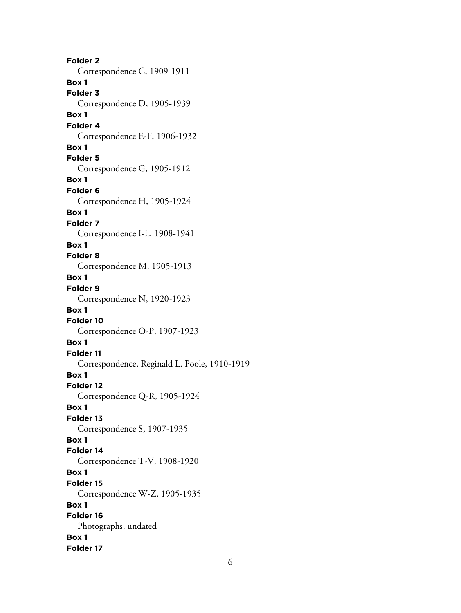**Folder 2** Correspondence C, 1909-1911 **Box 1 Folder 3** Correspondence D, 1905-1939 **Box 1 Folder 4** Correspondence E-F, 1906-1932 **Box 1 Folder 5** Correspondence G, 1905-1912 **Box 1 Folder 6** Correspondence H, 1905-1924 **Box 1 Folder 7** Correspondence I-L, 1908-1941 **Box 1 Folder 8** Correspondence M, 1905-1913 **Box 1 Folder 9** Correspondence N, 1920-1923 **Box 1 Folder 10** Correspondence O-P, 1907-1923 **Box 1 Folder 11** Correspondence, Reginald L. Poole, 1910-1919 **Box 1 Folder 12** Correspondence Q-R, 1905-1924 **Box 1 Folder 13** Correspondence S, 1907-1935 **Box 1 Folder 14** Correspondence T-V, 1908-1920 **Box 1 Folder 15** Correspondence W-Z, 1905-1935 **Box 1 Folder 16** Photographs, undated **Box 1 Folder 17**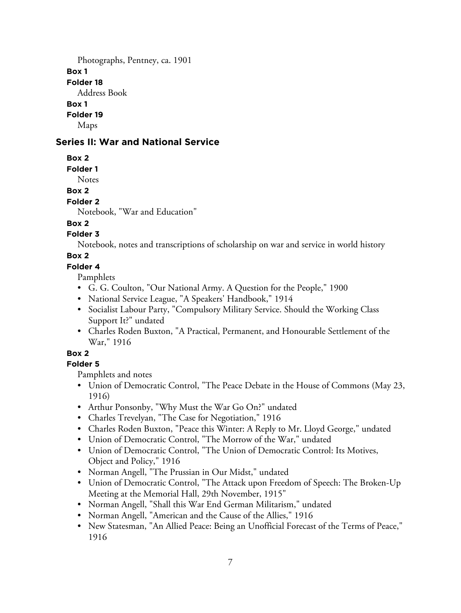Photographs, Pentney, ca. 1901 **Box 1 Folder 18** Address Book **Box 1 Folder 19**

Maps

## **Series II: War and National Service**

**Box 2**

**Folder 1**

Notes

## **Box 2**

#### **Folder 2**

Notebook, "War and Education"

## **Box 2**

## **Folder 3**

Notebook, notes and transcriptions of scholarship on war and service in world history

## **Box 2**

## **Folder 4**

Pamphlets

- G. G. Coulton, "Our National Army. A Question for the People," 1900
- National Service League, "A Speakers' Handbook," 1914
- Socialist Labour Party, "Compulsory Military Service. Should the Working Class Support It?" undated
- Charles Roden Buxton, "A Practical, Permanent, and Honourable Settlement of the War," 1916

## **Box 2**

## **Folder 5**

Pamphlets and notes

- Union of Democratic Control, "The Peace Debate in the House of Commons (May 23, 1916)
- Arthur Ponsonby, "Why Must the War Go On?" undated
- Charles Trevelyan, "The Case for Negotiation," 1916
- Charles Roden Buxton, "Peace this Winter: A Reply to Mr. Lloyd George," undated
- Union of Democratic Control, "The Morrow of the War," undated
- Union of Democratic Control, "The Union of Democratic Control: Its Motives, Object and Policy," 1916
- Norman Angell, "The Prussian in Our Midst," undated
- Union of Democratic Control, "The Attack upon Freedom of Speech: The Broken-Up Meeting at the Memorial Hall, 29th November, 1915"
- Norman Angell, "Shall this War End German Militarism," undated
- Norman Angell, "American and the Cause of the Allies," 1916
- New Statesman, "An Allied Peace: Being an Unofficial Forecast of the Terms of Peace," 1916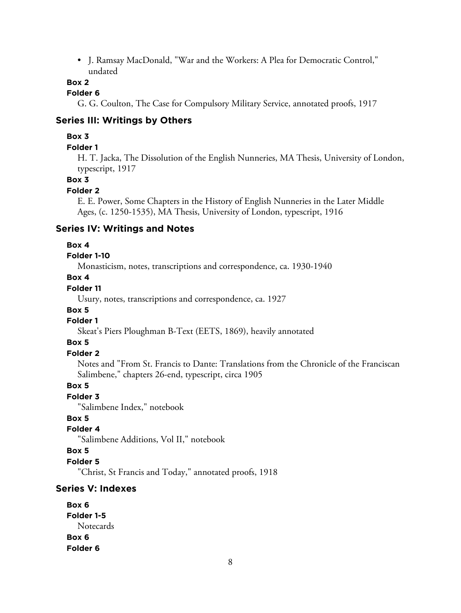• J. Ramsay MacDonald, "War and the Workers: A Plea for Democratic Control," undated

#### **Box 2**

## **Folder 6**

G. G. Coulton, The Case for Compulsory Military Service, annotated proofs, 1917

#### **Series III: Writings by Others**

#### **Box 3**

#### **Folder 1**

H. T. Jacka, The Dissolution of the English Nunneries, MA Thesis, University of London, typescript, 1917

#### **Box 3**

#### **Folder 2**

E. E. Power, Some Chapters in the History of English Nunneries in the Later Middle Ages, (c. 1250-1535), MA Thesis, University of London, typescript, 1916

#### **Series IV: Writings and Notes**

#### **Box 4**

#### **Folder 1-10**

Monasticism, notes, transcriptions and correspondence, ca. 1930-1940

#### **Box 4**

## **Folder 11**

Usury, notes, transcriptions and correspondence, ca. 1927

#### **Box 5**

## **Folder 1**

Skeat's Piers Ploughman B-Text (EETS, 1869), heavily annotated

#### **Box 5**

#### **Folder 2**

Notes and "From St. Francis to Dante: Translations from the Chronicle of the Franciscan Salimbene," chapters 26-end, typescript, circa 1905

## **Box 5**

#### **Folder 3**

"Salimbene Index," notebook

#### **Box 5**

## **Folder 4**

"Salimbene Additions, Vol II," notebook

#### **Box 5**

#### **Folder 5**

"Christ, St Francis and Today," annotated proofs, 1918

## **Series V: Indexes**

| Box 6      |
|------------|
| Folder 1-5 |
| Notecards  |
| Box 6      |
| Folder 6   |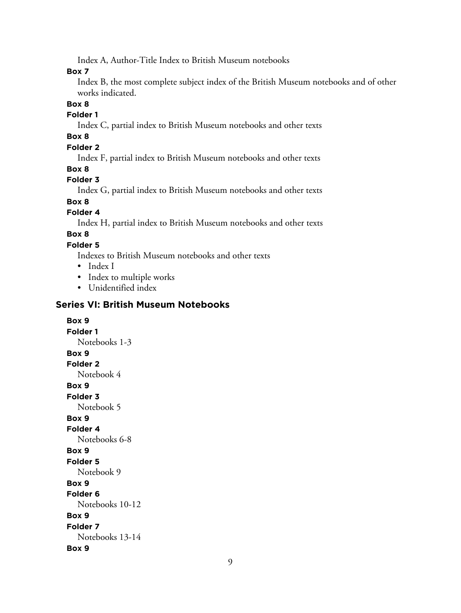Index A, Author-Title Index to British Museum notebooks

**Box 7**

Index B, the most complete subject index of the British Museum notebooks and of other works indicated.

#### **Box 8**

#### **Folder 1**

Index C, partial index to British Museum notebooks and other texts

# **Box 8**

## **Folder 2**

Index F, partial index to British Museum notebooks and other texts

## **Box 8**

## **Folder 3**

Index G, partial index to British Museum notebooks and other texts

# **Box 8**

## **Folder 4**

Index H, partial index to British Museum notebooks and other texts

## **Box 8**

## **Folder 5**

Indexes to British Museum notebooks and other texts

- Index I
- Index to multiple works
- Unidentified index

## **Series VI: British Museum Notebooks**

## **Box 9 Folder 1** Notebooks 1-3 **Box 9 Folder 2** Notebook 4 **Box 9 Folder 3** Notebook 5 **Box 9 Folder 4** Notebooks 6-8 **Box 9 Folder 5** Notebook 9 **Box 9 Folder 6** Notebooks 10-12 **Box 9 Folder 7** Notebooks 13-14 **Box 9**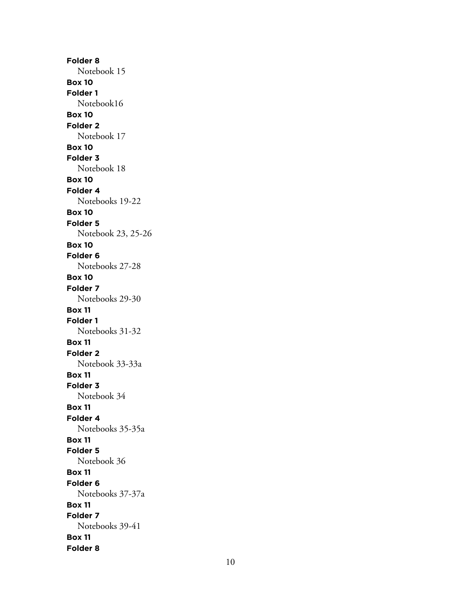**Folder 8** Notebook 15 **Box 10 Folder 1** Notebook16 **Box 10 Folder 2** Notebook 17 **Box 10 Folder 3** Notebook 18 **Box 10 Folder 4** Notebooks 19-22 **Box 10 Folder 5** Notebook 23, 25-26 **Box 10 Folder 6** Notebooks 27-28 **Box 10 Folder 7** Notebooks 29-30 **Box 11 Folder 1** Notebooks 31-32 **Box 11 Folder 2** Notebook 33-33a **Box 11 Folder 3** Notebook 34 **Box 11 Folder 4** Notebooks 35-35a **Box 11 Folder 5** Notebook 36 **Box 11 Folder 6** Notebooks 37-37a **Box 11 Folder 7** Notebooks 39-41 **Box 11 Folder 8**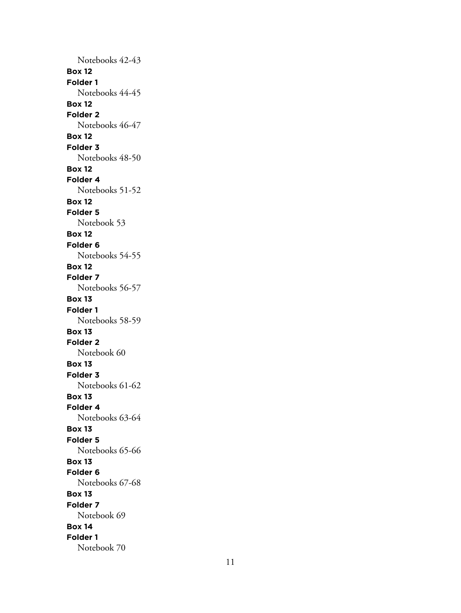Notebooks 42-43 **Box 12 Folder 1** Notebooks 44-45 **Box 12 Folder 2** Notebooks 46-47 **Box 12 Folder 3** Notebooks 48-50 **Box 12 Folder 4** Notebooks 51-52 **Box 12 Folder 5** Notebook 53 **Box 12 Folder 6** Notebooks 54-55 **Box 12 Folder 7** Notebooks 56-57 **Box 13 Folder 1** Notebooks 58-59 **Box 13 Folder 2** Notebook 60 **Box 13 Folder 3** Notebooks 61-62 **Box 13 Folder 4** Notebooks 63-64 **Box 13 Folder 5** Notebooks 65-66 **Box 13 Folder 6** Notebooks 67-68 **Box 13 Folder 7** Notebook 69 **Box 14 Folder 1** Notebook 70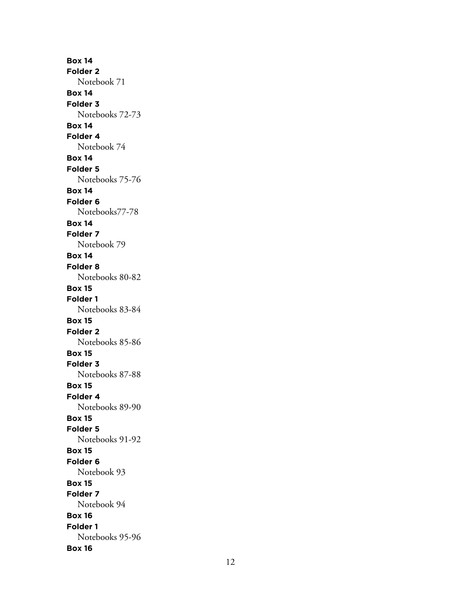**Box 14 Folder 2** Notebook 71 **Box 14 Folder 3** Notebooks 72-73 **Box 14 Folder 4** Notebook 74 **Box 14 Folder 5** Notebooks 75-76 **Box 14 Folder 6** Notebooks77-78 **Box 14 Folder 7** Notebook 79 **Box 14 Folder 8** Notebooks 80-82 **Box 15 Folder 1** Notebooks 83-84 **Box 15 Folder 2** Notebooks 85-86 **Box 15 Folder 3** Notebooks 87-88 **Box 15 Folder 4** Notebooks 89-90 **Box 15 Folder 5** Notebooks 91-92 **Box 15 Folder 6** Notebook 93 **Box 15 Folder 7** Notebook 94 **Box 16 Folder 1** Notebooks 95-96 **Box 16**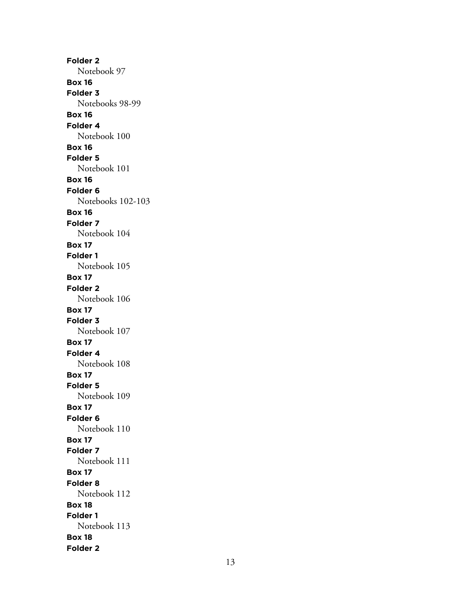**Folder 2** Notebook 97 **Box 16 Folder 3** Notebooks 98-99 **Box 16 Folder 4** Notebook 100 **Box 16 Folder 5** Notebook 101 **Box 16 Folder 6** Notebooks 102-103 **Box 16 Folder 7** Notebook 104 **Box 17 Folder 1** Notebook 105 **Box 17 Folder 2** Notebook 106 **Box 17 Folder 3** Notebook 107 **Box 17 Folder 4** Notebook 108 **Box 17 Folder 5** Notebook 109 **Box 17 Folder 6** Notebook 110 **Box 17 Folder 7** Notebook 111 **Box 17 Folder 8** Notebook 112 **Box 18 Folder 1** Notebook 113 **Box 18 Folder 2**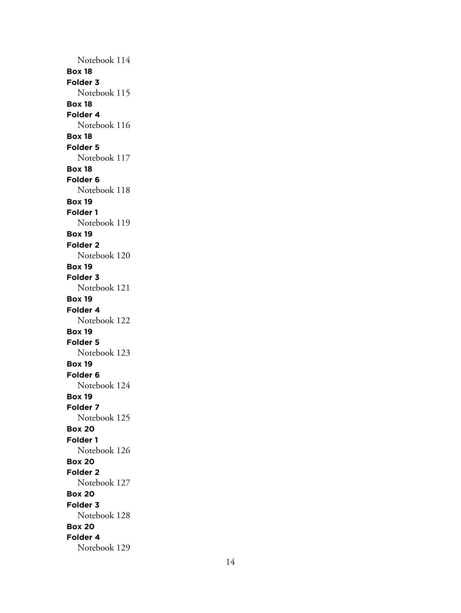Notebook 114 **Box 18 Folder 3** Notebook 115 **Box 18 Folder 4** Notebook 116 **Box 18 Folder 5** Notebook 117 **Box 18 Folder 6** Notebook 118 **Box 19 Folder 1** Notebook 119 **Box 19 Folder 2** Notebook 120 **Box 19 Folder 3** Notebook 121 **Box 19 Folder 4** Notebook 122 **Box 19 Folder 5** Notebook 123 **Box 19 Folder 6** Notebook 124 **Box 19 Folder 7** Notebook 125 **Box 20 Folder 1** Notebook 126 **Box 20 Folder 2** Notebook 127 **Box 20 Folder 3** Notebook 128 **Box 20 Folder 4** Notebook 129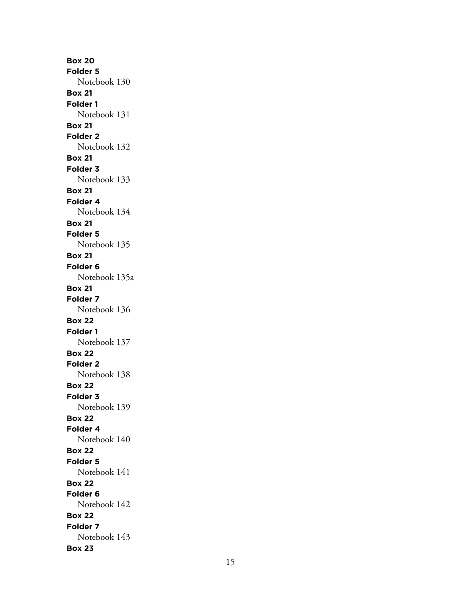**Box 20 Folder 5** Notebook 130 **Box 21 Folder 1** Notebook 131 **Box 21 Folder 2** Notebook 132 **Box 21 Folder 3** Notebook 133 **Box 21 Folder 4** Notebook 134 **Box 21 Folder 5** Notebook 135 **Box 21 Folder 6** Notebook 135a **Box 21 Folder 7** Notebook 136 **Box 22 Folder 1** Notebook 137 **Box 22 Folder 2** Notebook 138 **Box 22 Folder 3** Notebook 139 **Box 22 Folder 4** Notebook 140 **Box 22 Folder 5** Notebook 141 **Box 22 Folder 6** Notebook 142 **Box 22 Folder 7** Notebook 143 **Box 23**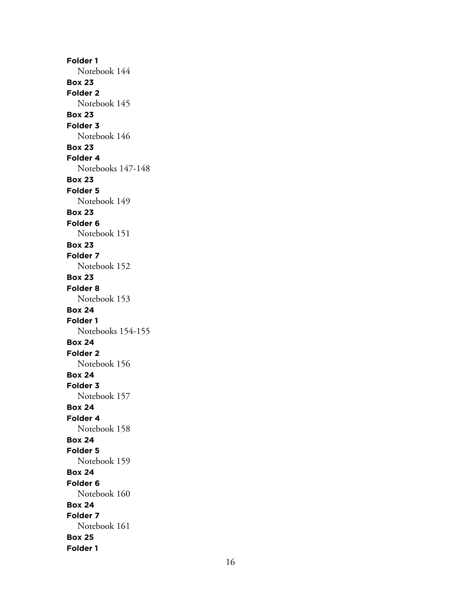**Folder 1** Notebook 144 **Box 23 Folder 2** Notebook 145 **Box 23 Folder 3** Notebook 146 **Box 23 Folder 4** Notebooks 147-148 **Box 23 Folder 5** Notebook 149 **Box 23 Folder 6** Notebook 151 **Box 23 Folder 7** Notebook 152 **Box 23 Folder 8** Notebook 153 **Box 24 Folder 1** Notebooks 154-155 **Box 24 Folder 2** Notebook 156 **Box 24 Folder 3** Notebook 157 **Box 24 Folder 4** Notebook 158 **Box 24 Folder 5** Notebook 159 **Box 24 Folder 6** Notebook 160 **Box 24 Folder 7** Notebook 161 **Box 25 Folder 1**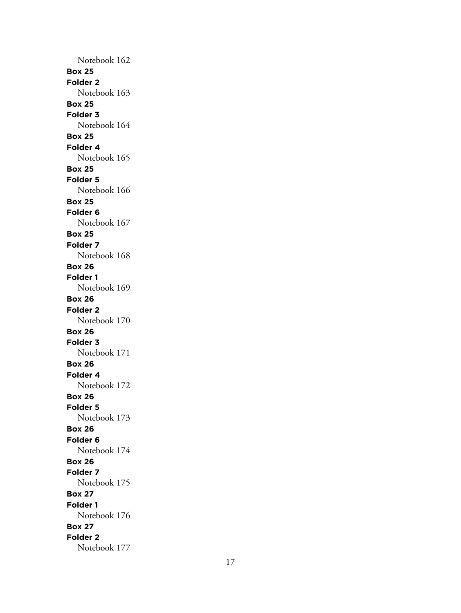Notebook 162 **Box 25 Folder 2** Notebook 163 **Box 25 Folder 3** Notebook 164 **Box 25 Folder 4** Notebook 165 **Box 25 Folder 5** Notebook 166 **Box 25 Folder 6** Notebook 167 **Box 25 Folder 7** Notebook 168 **Box 26 Folder 1** Notebook 169 **Box 26 Folder 2** Notebook 170 **Box 26 Folder 3** Notebook 171 **Box 26 Folder 4** Notebook 172 **Box 26 Folder 5** Notebook 173 **Box 26 Folder 6** Notebook 174 **Box 26 Folder 7** Notebook 175 **Box 27 Folder 1** Notebook 176 **Box 27 Folder 2** Notebook 177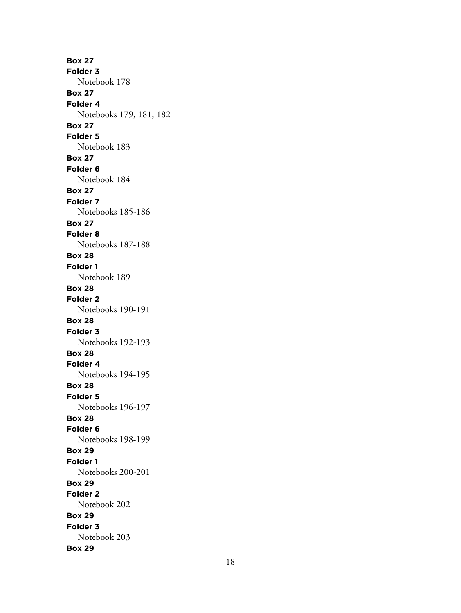**Box 27 Folder 3** Notebook 178 **Box 27 Folder 4** Notebooks 179, 181, 182 **Box 27 Folder 5** Notebook 183 **Box 27 Folder 6** Notebook 184 **Box 27 Folder 7** Notebooks 185-186 **Box 27 Folder 8** Notebooks 187-188 **Box 28 Folder 1** Notebook 189 **Box 28 Folder 2** Notebooks 190-191 **Box 28 Folder 3** Notebooks 192-193 **Box 28 Folder 4** Notebooks 194-195 **Box 28 Folder 5** Notebooks 196-197 **Box 28 Folder 6** Notebooks 198-199 **Box 29 Folder 1** Notebooks 200-201 **Box 29 Folder 2** Notebook 202 **Box 29 Folder 3** Notebook 203 **Box 29**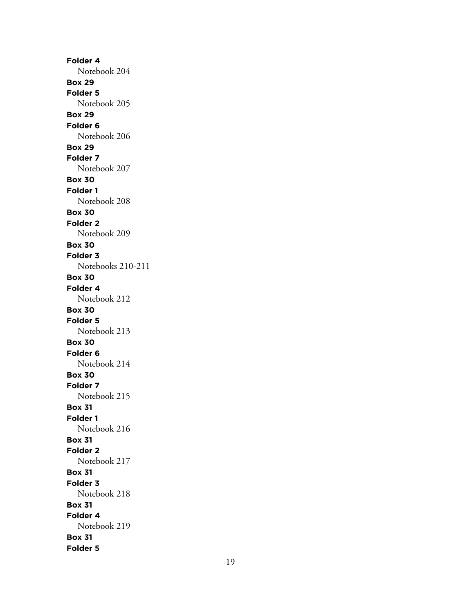**Folder 4** Notebook 204 **Box 29 Folder 5** Notebook 205 **Box 29 Folder 6** Notebook 206 **Box 29 Folder 7** Notebook 207 **Box 30 Folder 1** Notebook 208 **Box 30 Folder 2** Notebook 209 **Box 30 Folder 3** Notebooks 210-211 **Box 30 Folder 4** Notebook 212 **Box 30 Folder 5** Notebook 213 **Box 30 Folder 6** Notebook 214 **Box 30 Folder 7** Notebook 215 **Box 31 Folder 1** Notebook 216 **Box 31 Folder 2** Notebook 217 **Box 31 Folder 3** Notebook 218 **Box 31 Folder 4** Notebook 219 **Box 31 Folder 5**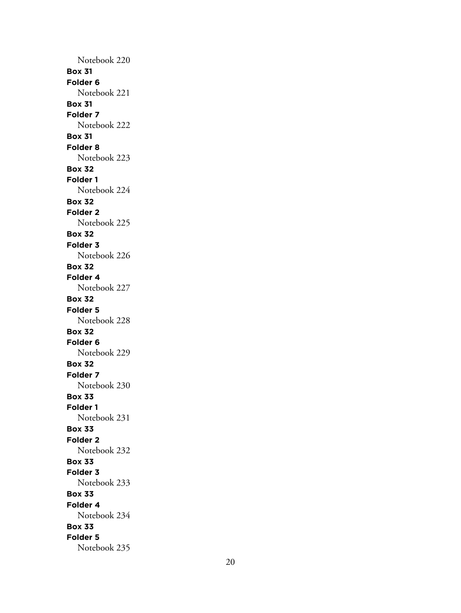Notebook 220 **Box 31 Folder 6** Notebook 221 **Box 31 Folder 7** Notebook 222 **Box 31 Folder 8** Notebook 223 **Box 32 Folder 1** Notebook 224 **Box 32 Folder 2** Notebook 225 **Box 32 Folder 3** Notebook 226 **Box 32 Folder 4** Notebook 227 **Box 32 Folder 5** Notebook 228 **Box 32 Folder 6** Notebook 229 **Box 32 Folder 7** Notebook 230 **Box 33 Folder 1** Notebook 231 **Box 33 Folder 2** Notebook 232 **Box 33 Folder 3** Notebook 233 **Box 33 Folder 4** Notebook 234 **Box 33 Folder 5** Notebook 235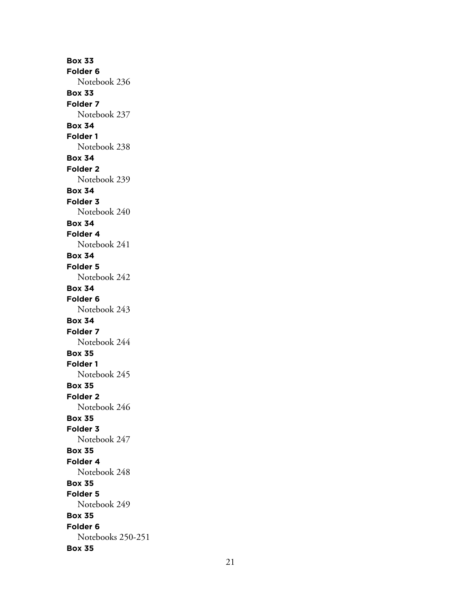**Box 33 Folder 6** Notebook 236 **Box 33 Folder 7** Notebook 237 **Box 34 Folder 1** Notebook 238 **Box 34 Folder 2** Notebook 239 **Box 34 Folder 3** Notebook 240 **Box 34 Folder 4** Notebook 241 **Box 34 Folder 5** Notebook 242 **Box 34 Folder 6** Notebook 243 **Box 34 Folder 7** Notebook 244 **Box 35 Folder 1** Notebook 245 **Box 35 Folder 2** Notebook 246 **Box 35 Folder 3** Notebook 247 **Box 35 Folder 4** Notebook 248 **Box 35 Folder 5** Notebook 249 **Box 35 Folder 6** Notebooks 250-251 **Box 35**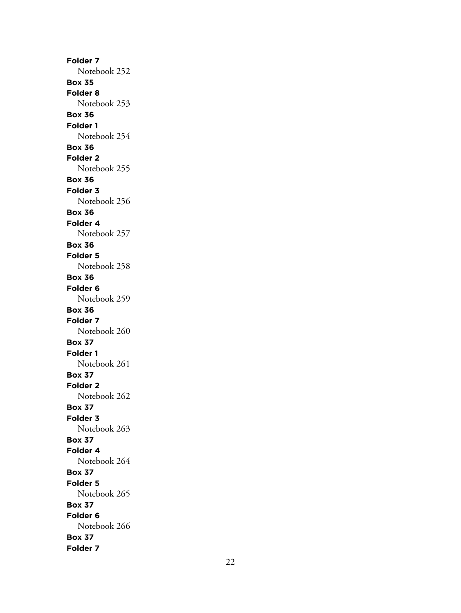**Folder 7** Notebook 252 **Box 35 Folder 8** Notebook 253 **Box 36 Folder 1** Notebook 254 **Box 36 Folder 2** Notebook 255 **Box 36 Folder 3** Notebook 256 **Box 36 Folder 4** Notebook 257 **Box 36 Folder 5** Notebook 258 **Box 36 Folder 6** Notebook 259 **Box 36 Folder 7** Notebook 260 **Box 37 Folder 1** Notebook 261 **Box 37 Folder 2** Notebook 262 **Box 37 Folder 3** Notebook 263 **Box 37 Folder 4** Notebook 264 **Box 37 Folder 5** Notebook 265 **Box 37 Folder 6** Notebook 266 **Box 37 Folder 7**